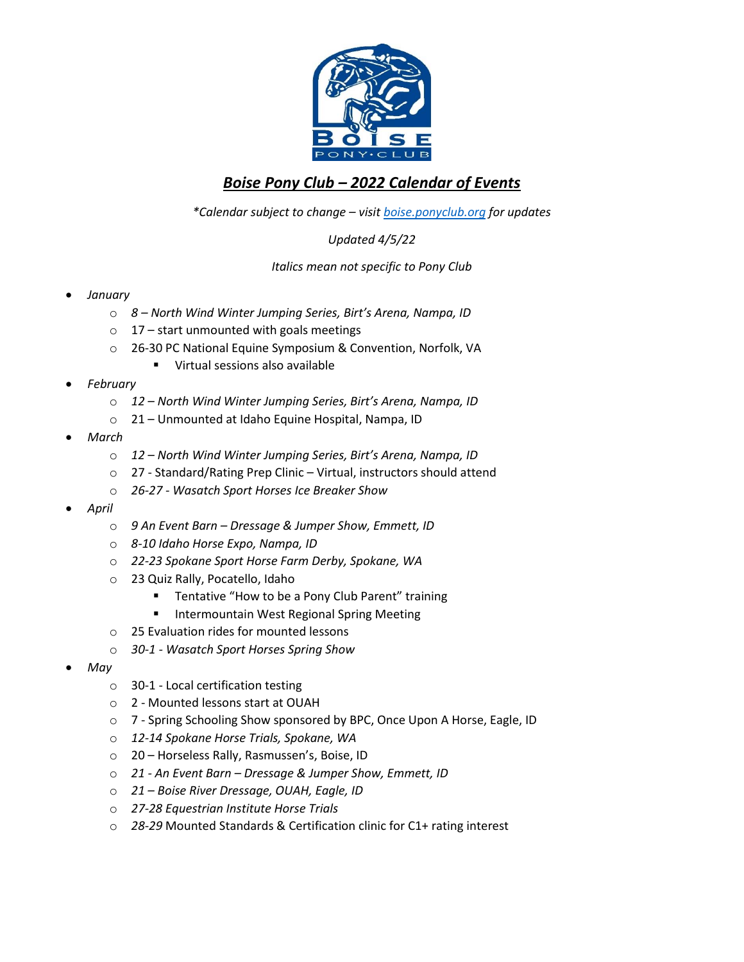

## *Boise Pony Club – 2022 Calendar of Events*

*\*Calendar subject to change – visi[t boise.ponyclub.org](https://boise.ponyclub.org/) for updates*

*Updated 4/5/22*

*Italics mean not specific to Pony Club*

- *January*
	- o *8 – North Wind Winter Jumping Series, Birt's Arena, Nampa, ID*
	- $\circ$  17 start unmounted with goals meetings
	- o 26-30 PC National Equine Symposium & Convention, Norfolk, VA
		- Virtual sessions also available
- *February*
	- o *12 – North Wind Winter Jumping Series, Birt's Arena, Nampa, ID*
	- o 21 Unmounted at Idaho Equine Hospital, Nampa, ID
- *March*
	- o *12 – North Wind Winter Jumping Series, Birt's Arena, Nampa, ID*
	- o 27 Standard/Rating Prep Clinic Virtual, instructors should attend
	- o *26-27 - Wasatch Sport Horses Ice Breaker Show*
- *April*
	- o *9 An Event Barn – Dressage & Jumper Show, Emmett, ID*
	- o *8-10 Idaho Horse Expo, Nampa, ID*
	- o *22-23 Spokane Sport Horse Farm Derby, Spokane, WA*
	- o 23 Quiz Rally, Pocatello, Idaho
		- Tentative "How to be a Pony Club Parent" training
		- Intermountain West Regional Spring Meeting
	- o 25 Evaluation rides for mounted lessons
	- o *30-1 - Wasatch Sport Horses Spring Show*
- *May*
	- o 30-1 Local certification testing
	- o 2 Mounted lessons start at OUAH
	- o 7 Spring Schooling Show sponsored by BPC, Once Upon A Horse, Eagle, ID
	- o *12-14 Spokane Horse Trials, Spokane, WA*
	- o 20 Horseless Rally, Rasmussen's, Boise, ID
	- o *21 - An Event Barn – Dressage & Jumper Show, Emmett, ID*
	- o *21 – Boise River Dressage, OUAH, Eagle, ID*
	- o *27-28 Equestrian Institute Horse Trials*
	- o *28-29* Mounted Standards & Certification clinic for C1+ rating interest